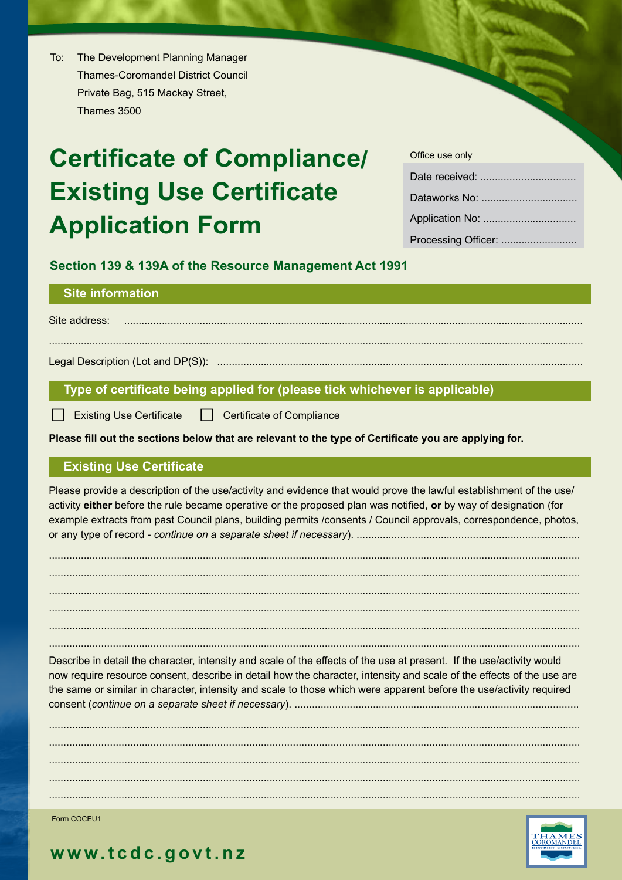$To:$ The Development Planning Manager **Thames-Coromandel District Council** Private Bag, 515 Mackay Street, Thames 3500

# **Certificate of Compliance/ Existing Use Certificate Application Form**

| Office use only |
|-----------------|
|                 |
|                 |
|                 |
|                 |

Section 139 & 139A of the Resource Management Act 1991

# **Site information**

Site address: 

#### Type of certificate being applied for (please tick whichever is applicable)

| Existing Use Certificate | Certificate of Compliance

Please fill out the sections below that are relevant to the type of Certificate you are applying for.

#### **Existing Use Certificate**

Please provide a description of the use/activity and evidence that would prove the lawful establishment of the use/ activity either before the rule became operative or the proposed plan was notified, or by way of designation (for example extracts from past Council plans, building permits /consents / Council approvals, correspondence, photos, 

Describe in detail the character, intensity and scale of the effects of the use at present. If the use/activity would now require resource consent, describe in detail how the character, intensity and scale of the effects of the use are the same or similar in character, intensity and scale to those which were apparent before the use/activity required 

Form COCEU1



# www.tcdc.govt.nz